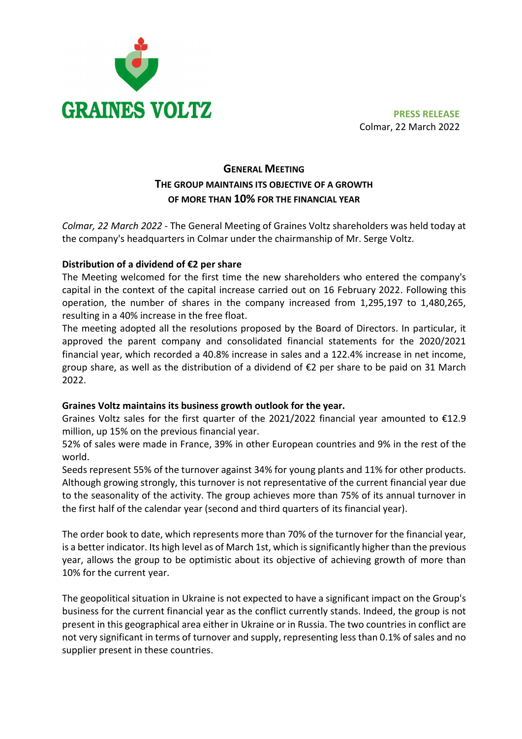

Colmar, 22 March 2022

# GENERAL MEETING THE GROUP MAINTAINS ITS OBJECTIVE OF A GROWTH OF MORE THAN 10% FOR THE FINANCIAL YEAR

Colmar, 22 March 2022 - The General Meeting of Graines Voltz shareholders was held today at the company's headquarters in Colmar under the chairmanship of Mr. Serge Voltz.

## Distribution of a dividend of €2 per share

The Meeting welcomed for the first time the new shareholders who entered the company's capital in the context of the capital increase carried out on 16 February 2022. Following this operation, the number of shares in the company increased from 1,295,197 to 1,480,265, resulting in a 40% increase in the free float.

The meeting adopted all the resolutions proposed by the Board of Directors. In particular, it approved the parent company and consolidated financial statements for the 2020/2021 financial year, which recorded a 40.8% increase in sales and a 122.4% increase in net income, group share, as well as the distribution of a dividend of €2 per share to be paid on 31 March 2022.

## Graines Voltz maintains its business growth outlook for the year.

Graines Voltz sales for the first quarter of the 2021/2022 financial year amounted to €12.9 million, up 15% on the previous financial year.

52% of sales were made in France, 39% in other European countries and 9% in the rest of the world.

Seeds represent 55% of the turnover against 34% for young plants and 11% for other products. Although growing strongly, this turnover is not representative of the current financial year due to the seasonality of the activity. The group achieves more than 75% of its annual turnover in the first half of the calendar year (second and third quarters of its financial year).

The order book to date, which represents more than 70% of the turnover for the financial year, is a better indicator. Its high level as of March 1st, which is significantly higher than the previous year, allows the group to be optimistic about its objective of achieving growth of more than 10% for the current year.

The geopolitical situation in Ukraine is not expected to have a significant impact on the Group's business for the current financial year as the conflict currently stands. Indeed, the group is not present in this geographical area either in Ukraine or in Russia. The two countries in conflict are not very significant in terms of turnover and supply, representing less than 0.1% of sales and no supplier present in these countries.